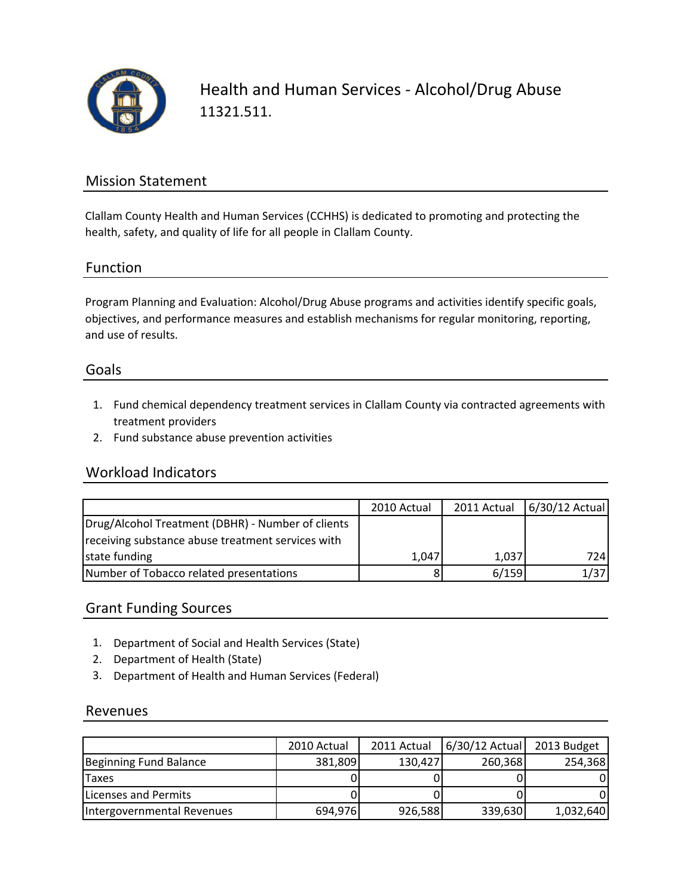

Health and Human Services ‐ Alcohol/Drug Abuse 11321.511.

## Mission Statement

Clallam County Health and Human Services (CCHHS) is dedicated to promoting and protecting the health, safety, and quality of life for all people in Clallam County.

### Function

Program Planning and Evaluation: Alcohol/Drug Abuse programs and activities identify specific goals, objectives, and performance measures and establish mechanisms for regular monitoring, reporting, and use of results.

#### Goals

- 1. Fund chemical dependency treatment services in Clallam County via contracted agreements with treatment providers
- 2. Fund substance abuse prevention activities

#### Workload Indicators

|                                                   | 2010 Actual | 2011 Actual | 6/30/12 Actual |
|---------------------------------------------------|-------------|-------------|----------------|
| Drug/Alcohol Treatment (DBHR) - Number of clients |             |             |                |
| receiving substance abuse treatment services with |             |             |                |
| state funding                                     | 1,047       | 1,037       | 724 I          |
| Number of Tobacco related presentations           | 8           | 6/159       | 1/37           |

## Grant Funding Sources

- 1. Department of Social and Health Services (State)
- 2. Department of Health (State)
- 3. Department of Health and Human Services (Federal)

#### Revenues

|                            | 2010 Actual | 2011 Actual | $6/30/12$ Actual | 2013 Budget |
|----------------------------|-------------|-------------|------------------|-------------|
| Beginning Fund Balance     | 381,809     | 130,427     | 260,368          | 254,368     |
| Taxes                      |             |             |                  |             |
| Licenses and Permits       |             |             |                  |             |
| Intergovernmental Revenues | 694,976     | 926,588     | 339,630          | 1,032,640   |